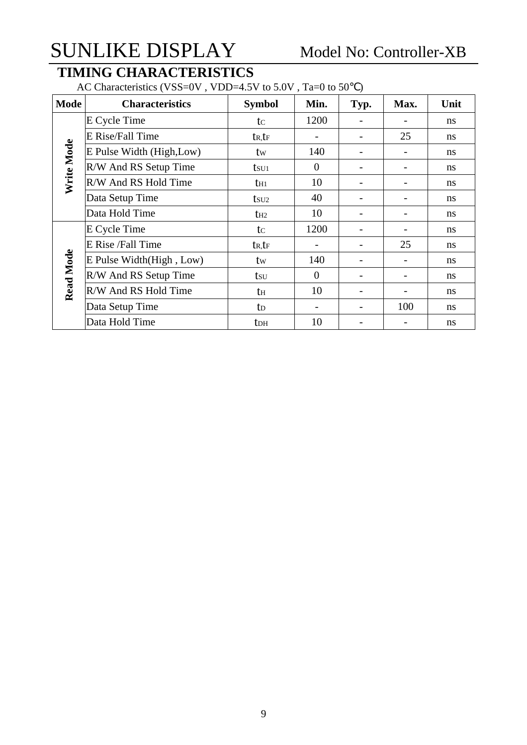### **TIMING CHARACTERISTICS**

AC Characteristics (VSS=0V, VDD=4.5V to 5.0V, Ta=0 to 50)

| <b>Mode</b>      | <b>Characteristics</b>    | <b>Symbol</b>       | Min.           | Typ. | Max. | Unit          |
|------------------|---------------------------|---------------------|----------------|------|------|---------------|
|                  | E Cycle Time              | tc                  | 1200           |      |      | ns            |
|                  | E Rise/Fall Time          | $t_{R,LF}$          |                |      | 25   | ns            |
| Write Mode       | E Pulse Width (High, Low) | tw                  | 140            |      |      | ns            |
|                  | R/W And RS Setup Time     | $t_{\rm SU1}$       | $\theta$       |      |      | ns            |
|                  | R/W And RS Hold Time      | $t_{H1}$            | 10             | -    |      | <sub>ns</sub> |
|                  | Data Setup Time           | $t$ su <sub>2</sub> | 40             |      |      | ns            |
|                  | Data Hold Time            | $t_{H2}$            | 10             | -    | -    | ns            |
|                  | E Cycle Time              | tc                  | 1200           |      |      | ns            |
|                  | E Rise /Fall Time         | $t_{R}$ , $t_{F}$   |                |      | 25   | ns            |
|                  | E Pulse Width(High, Low)  | tw                  | 140            |      |      | ns            |
| <b>Read Mode</b> | R/W And RS Setup Time     | tsu                 | $\overline{0}$ |      |      | ns            |
|                  | R/W And RS Hold Time      | th                  | 10             | ۰    |      | ns            |
|                  | Data Setup Time           | t <sub>D</sub>      |                |      | 100  | ns            |
|                  | Data Hold Time            | tdh                 | 10             |      |      | ns            |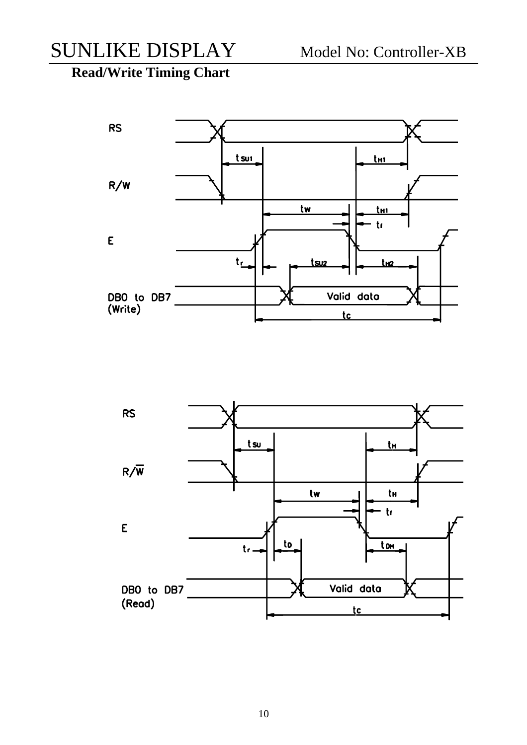**Read/Write Timing Chart** 



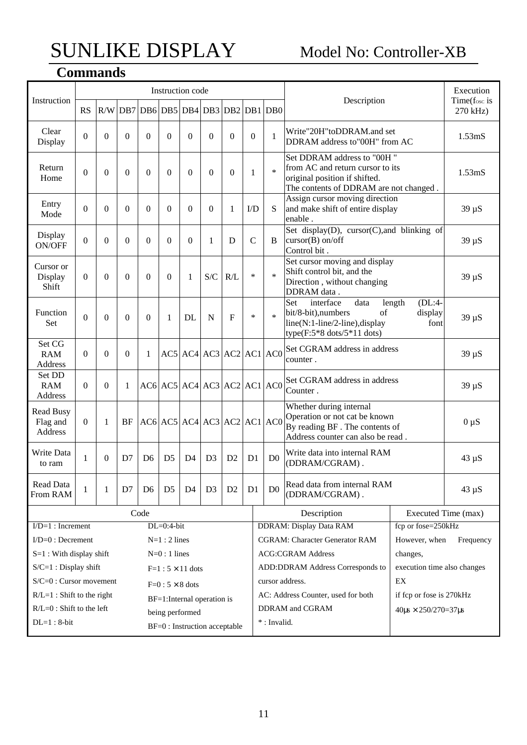### **Commands**

| Instruction                             |              |          |                  |                                     | Instruction code           |                |                |                                           |                |                | Description                                                                                                                                                          |                                      | Execution<br>Time(fosc is |
|-----------------------------------------|--------------|----------|------------------|-------------------------------------|----------------------------|----------------|----------------|-------------------------------------------|----------------|----------------|----------------------------------------------------------------------------------------------------------------------------------------------------------------------|--------------------------------------|---------------------------|
|                                         | <b>RS</b>    |          |                  | R/W DB7 DB6 DB5 DB4 DB3 DB2 DB1 DB0 |                            |                |                |                                           |                |                |                                                                                                                                                                      |                                      | 270 kHz)                  |
| Clear<br>Display                        | $\theta$     | $\theta$ | $\Omega$         | $\Omega$                            | $\Omega$                   | $\theta$       | $\theta$       | $\theta$                                  | $\Omega$       | 1              | Write"20H"toDDRAM.and set<br>DDRAM address to"00H" from AC                                                                                                           |                                      | 1.53 <sub>m</sub> S       |
| Return<br>Home                          | $\theta$     | $\theta$ | $\Omega$         | $\Omega$                            | $\theta$                   | $\theta$       | $\theta$       | $\theta$                                  | 1              | $\ast$         | Set DDRAM address to "00H"<br>from AC and return cursor to its<br>original position if shifted.<br>The contents of DDRAM are not changed.                            |                                      | 1.53 <sub>m</sub> S       |
| Entry<br>Mode                           | $\theta$     | $\theta$ | $\boldsymbol{0}$ | $\Omega$                            | $\theta$                   | $\Omega$       | $\Omega$       | 1                                         | $\rm{ID}$      | S              | Assign cursor moving direction<br>and make shift of entire display<br>enable.                                                                                        |                                      | $39 \mu S$                |
| Display<br>ON/OFF                       | $\theta$     | $\Omega$ | $\boldsymbol{0}$ | $\Omega$                            | $\theta$                   | $\overline{0}$ | 1              | D                                         | $\mathcal{C}$  | B              | Set display(D), cursor(C), and blinking of<br>$cursor(B)$ on/off<br>Control bit.                                                                                     |                                      | $39 \mu S$                |
| Cursor or<br>Display<br>Shift           | $\Omega$     | $\Omega$ | $\Omega$         | $\Omega$                            | $\Omega$                   | 1              | S/C            | R/L                                       | $\ast$         | $\ast$         | Set cursor moving and display<br>Shift control bit, and the<br>Direction, without changing<br>DDRAM data.                                                            |                                      | $39 \mu S$                |
| Function<br>Set                         | $\theta$     | $\theta$ | $\Omega$         | $\Omega$                            | 1                          | DL             | N              | $\mathbf{F}$                              | $\ast$         | $\ast$         | Set<br>$(DL:4-$<br>interface<br>data<br>length<br>bit/8-bit), numbers<br>of<br>display<br>line(N:1-line/2-line), display<br>font<br>type( $F:5*8$ dots/ $5*11$ dots) |                                      | $39 \mu S$                |
| Set CG<br><b>RAM</b><br>Address         | $\Omega$     | $\Omega$ | $\Omega$         | 1                                   |                            |                |                | $AC5$ $AC4$ $AC3$ $AC2$ $AC1$ $AC0$       |                |                | Set CGRAM address in address<br>counter.                                                                                                                             |                                      | $39 \mu S$                |
| Set DD<br><b>RAM</b><br>Address         | $\Omega$     | $\Omega$ | 1                |                                     |                            |                |                | $AC6$ $AC5$ $AC4$ $AC3$ $AC2$ $AC1$ $AC0$ |                |                | Set CGRAM address in address<br>Counter.                                                                                                                             |                                      | $39 \mu S$                |
| <b>Read Busy</b><br>Flag and<br>Address | $\mathbf{0}$ | 1        | <b>BF</b>        |                                     |                            |                |                | $AC6$ $AC5$ $AC4$ $AC3$ $AC2$ $AC1$ $AC0$ |                |                | Whether during internal<br>Operation or not cat be known<br>By reading BF. The contents of<br>Address counter can also be read.                                      |                                      | $0 \mu S$                 |
| Write Data<br>to ram                    | 1            | $\Omega$ | D7               | D <sub>6</sub>                      | D <sub>5</sub>             | D <sub>4</sub> | D <sub>3</sub> | D2                                        | D <sub>1</sub> | D <sub>0</sub> | Write data into internal RAM<br>(DDRAM/CGRAM).                                                                                                                       |                                      | $43 \mu S$                |
| Read Data<br>From RAM                   | 1            | 1        | D7               | D <sub>6</sub>                      | D <sub>5</sub>             | D <sub>4</sub> | D <sub>3</sub> | D <sub>2</sub>                            | D <sub>1</sub> | D <sub>0</sub> | Read data from internal RAM<br>(DDRAM/CGRAM).                                                                                                                        |                                      | $43 \mu S$                |
|                                         |              |          |                  | Code                                |                            |                |                |                                           |                |                | Description                                                                                                                                                          |                                      | Executed Time (max)       |
| $I/D=1$ : Increment                     |              |          |                  |                                     | $DL=0:4-bit$               |                |                |                                           |                |                | <b>DDRAM: Display Data RAM</b>                                                                                                                                       | fcp or fose=250kHz                   |                           |
| $I/D=0$ : Decrement                     |              |          |                  |                                     | $N=1:2$ lines              |                |                |                                           |                |                | <b>CGRAM: Character Generator RAM</b>                                                                                                                                | However, when                        | Frequency                 |
| $S=1$ : With display shift              |              |          |                  |                                     | $N=0$ : 1 lines            |                |                |                                           |                |                | <b>ACG:CGRAM Address</b>                                                                                                                                             | changes,                             |                           |
| $S/C=1$ : Display shift                 |              |          |                  |                                     | $F=1:5\times 11$ dots      |                |                |                                           |                |                | ADD:DDRAM Address Corresponds to                                                                                                                                     | execution time also changes          |                           |
| S/C=0 : Cursor movement                 |              |          |                  |                                     | $F=0:5\times 8$ dots       |                |                |                                           |                |                | cursor address.                                                                                                                                                      | EX                                   |                           |
| $R/L=1$ : Shift to the right            |              |          |                  |                                     | BF=1:Internal operation is |                |                |                                           |                |                | AC: Address Counter, used for both                                                                                                                                   | if fcp or fose is 270kHz             |                           |
| $R/L=0$ : Shift to the left             |              |          |                  |                                     | being performed            |                |                |                                           |                |                | DDRAM and CGRAM                                                                                                                                                      | $40 \mu s \times 250/270 = 37 \mu s$ |                           |
| $DL=1:8-bit$                            |              |          |                  |                                     |                            |                |                | BF=0 : Instruction acceptable             |                |                | *: Invalid.                                                                                                                                                          |                                      |                           |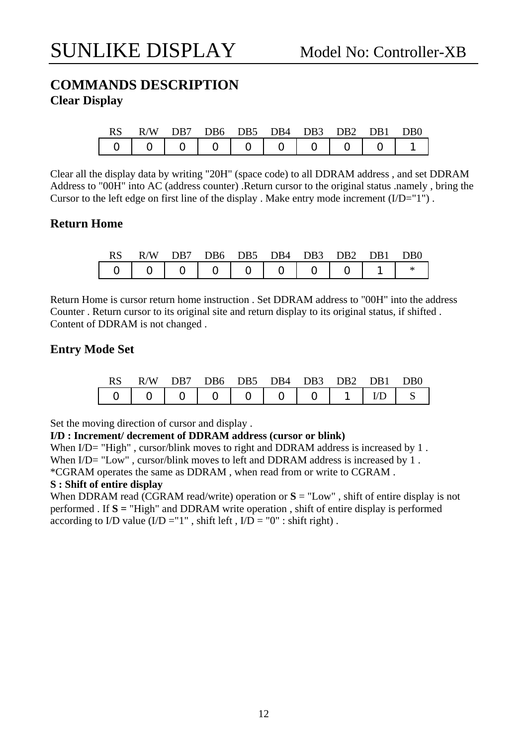#### **COMMANDS DESCRIPTION Clear Display**

|  | RS R/W DB7 DB6 DB5 DB4 DB3 DB2 DB1 DB0 |  |  |  |  |
|--|----------------------------------------|--|--|--|--|
|  |                                        |  |  |  |  |

Clear all the display data by writing "20H" (space code) to all DDRAM address , and set DDRAM Address to "00H" into AC (address counter) .Return cursor to the original status .namely , bring the Cursor to the left edge on first line of the display. Make entry mode increment  $(I/D="1")$ .

#### **Return Home**

|  | RS R/W DB7 DB6 DB5 DB4 DB3 DB2 DB1 DB0    |  |  |  |  |
|--|-------------------------------------------|--|--|--|--|
|  | $  0   0   0   0   0   0   0   0   1   *$ |  |  |  |  |

Return Home is cursor return home instruction . Set DDRAM address to "00H" into the address Counter . Return cursor to its original site and return display to its original status, if shifted . Content of DDRAM is not changed .

#### **Entry Mode Set**

| RS. | R/W DB7 DB6 DB5 DB4 DB3 DB2 DB1 DB0 |  |  |  |  |
|-----|-------------------------------------|--|--|--|--|
|     |                                     |  |  |  |  |

Set the moving direction of cursor and display .

#### **I/D : Increment/ decrement of DDRAM address (cursor or blink)**

When I/D= "High", cursor/blink moves to right and DDRAM address is increased by 1. When  $I/D$  = "Low", cursor/blink moves to left and DDRAM address is increased by 1. \*CGRAM operates the same as DDRAM , when read from or write to CGRAM .

#### **S : Shift of entire display**

When DDRAM read (CGRAM read/write) operation or  $S = "Low"$ , shift of entire display is not performed . If **S =** "High" and DDRAM write operation , shift of entire display is performed according to I/D value  $(I/D = "1"$ , shift left,  $I/D = "0"$ : shift right).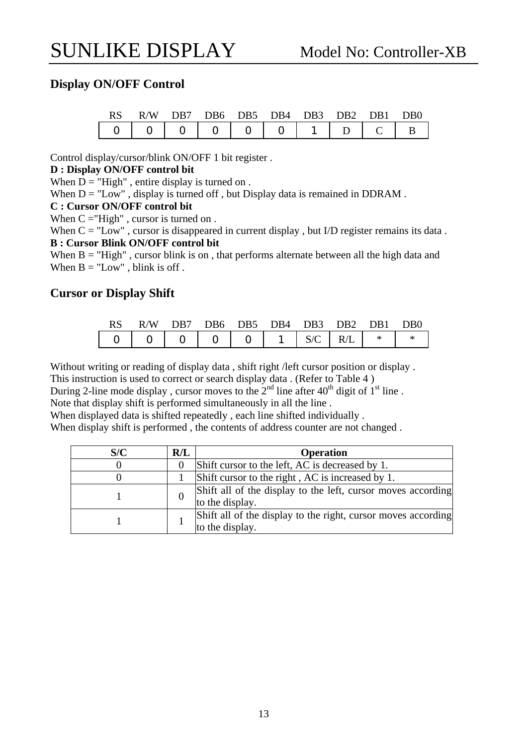#### **Display ON/OFF Control**

|  | RS R/W DB7 DB6 DB5 DB4 DB3 DB2 DB1 DB0 |  |  |  |  |
|--|----------------------------------------|--|--|--|--|
|  |                                        |  |  |  |  |

Control display/cursor/blink ON/OFF 1 bit register .

#### **D : Display ON/OFF control bit**

When  $D = "High"$ , entire display is turned on.

When  $D = "Low"$ , display is turned off, but Display data is remained in DDRAM.

#### **C : Cursor ON/OFF control bit**

When  $C = "High"$ , cursor is turned on.

When  $C = "Low"$ , cursor is disappeared in current display, but I/D register remains its data. **B : Cursor Blink ON/OFF control bit** 

When  $B = "High"$ , cursor blink is on, that performs alternate between all the high data and When  $B = "Low"$ , blink is off.

#### **Cursor or Display Shift**

| <b>RS</b> |  |  | R/W DB7 DB6 DB5 DB4 DB3 DB2 DB1 DB0 |  |  |
|-----------|--|--|-------------------------------------|--|--|
|           |  |  |                                     |  |  |

Without writing or reading of display data , shift right /left cursor position or display .

This instruction is used to correct or search display data . (Refer to Table 4 )

During 2-line mode display, cursor moves to the  $2<sup>nd</sup>$  line after  $40<sup>th</sup>$  digit of  $1<sup>st</sup>$  line.

Note that display shift is performed simultaneously in all the line .

When displayed data is shifted repeatedly , each line shifted individually .

When display shift is performed , the contents of address counter are not changed .

| S/C | R/L | <b>Operation</b>                                                                 |
|-----|-----|----------------------------------------------------------------------------------|
|     |     | Shift cursor to the left, AC is decreased by 1.                                  |
|     |     | Shift cursor to the right, AC is increased by 1.                                 |
|     |     | Shift all of the display to the left, cursor moves according<br>to the display.  |
|     |     | Shift all of the display to the right, cursor moves according<br>to the display. |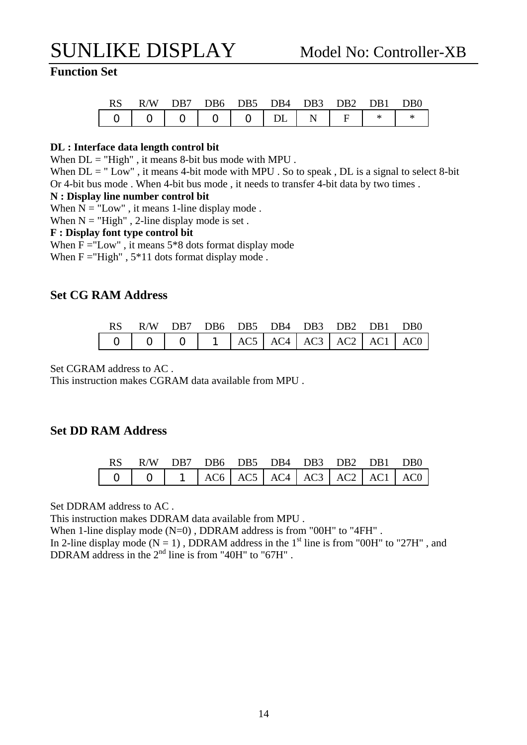#### **Function Set**

| RS R/W DB7 DB6 DB5 DB4 DB3 DB2 DB1 DB0 |  |  |  |  |
|----------------------------------------|--|--|--|--|
|                                        |  |  |  |  |

#### **DL : Interface data length control bit**

When  $DL = "High"$ , it means 8-bit bus mode with MPU.

When  $DL = " Low"$ , it means 4-bit mode with MPU. So to speak,  $DL$  is a signal to select 8-bit Or 4-bit bus mode . When 4-bit bus mode , it needs to transfer 4-bit data by two times .

#### **N : Display line number control bit**

When  $N =$  "Low", it means 1-line display mode.

When  $N = "High"$ , 2-line display mode is set.

#### **F : Display font type control bit**

When  $F = "Low"$ , it means  $5*8$  dots format display mode When  $F = "High"$ ,  $5*11$  dots format display mode.

#### **Set CG RAM Address**

| RS R/W DB7 DB6 DB5 DB4 DB3 DB2 DB1 DB0 |  |  |  |  |
|----------------------------------------|--|--|--|--|
|                                        |  |  |  |  |

Set CGRAM address to AC .

This instruction makes CGRAM data available from MPU .

#### **Set DD RAM Address**

| RS R/W DB7 DB6 DB5 DB4 DB3 DB2 DB1 DB0 |  |  |  |  |
|----------------------------------------|--|--|--|--|
|                                        |  |  |  |  |

Set DDRAM address to AC .

This instruction makes DDRAM data available from MPU .

When 1-line display mode (N=0), DDRAM address is from "00H" to "4FH".

In 2-line display mode ( $N = 1$ ), DDRAM address in the 1<sup>st</sup> line is from "00H" to "27H", and DDRAM address in the  $2<sup>nd</sup>$  line is from "40H" to "67H".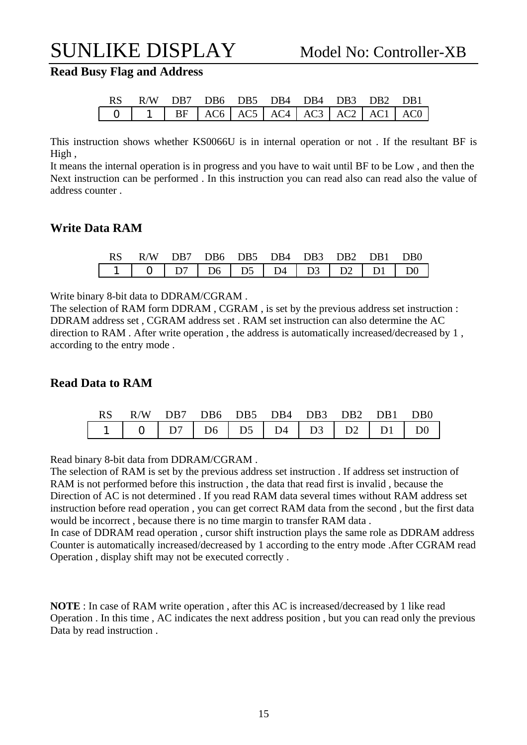**Read Busy Flag and Address** 

| RS R/W DB7 DB6 DB5 DB4 DB4 DB3 DB2 DB1 |  |  |  |  |
|----------------------------------------|--|--|--|--|
|                                        |  |  |  |  |

This instruction shows whether KS0066U is in internal operation or not . If the resultant BF is High ,

It means the internal operation is in progress and you have to wait until BF to be Low , and then the Next instruction can be performed . In this instruction you can read also can read also the value of address counter .

#### **Write Data RAM**

| RS R/W DB7 DB6 DB5 DB4 DB3 DB2 DB1 DB0 |  |  |  |  |
|----------------------------------------|--|--|--|--|
|                                        |  |  |  |  |

Write binary 8-bit data to DDRAM/CGRAM .

The selection of RAM form DDRAM , CGRAM , is set by the previous address set instruction : DDRAM address set , CGRAM address set . RAM set instruction can also determine the AC direction to RAM . After write operation , the address is automatically increased/decreased by 1 , according to the entry mode .

#### **Read Data to RAM**

|  | RS R/W DB7 DB6 DB5 DB4 DB3 DB2 DB1 DB0 |  |  |  |  |
|--|----------------------------------------|--|--|--|--|
|  |                                        |  |  |  |  |

Read binary 8-bit data from DDRAM/CGRAM .

The selection of RAM is set by the previous address set instruction . If address set instruction of RAM is not performed before this instruction , the data that read first is invalid , because the Direction of AC is not determined . If you read RAM data several times without RAM address set instruction before read operation , you can get correct RAM data from the second , but the first data would be incorrect , because there is no time margin to transfer RAM data .

In case of DDRAM read operation , cursor shift instruction plays the same role as DDRAM address Counter is automatically increased/decreased by 1 according to the entry mode .After CGRAM read Operation , display shift may not be executed correctly .

**NOTE** : In case of RAM write operation , after this AC is increased/decreased by 1 like read Operation . In this time , AC indicates the next address position , but you can read only the previous Data by read instruction .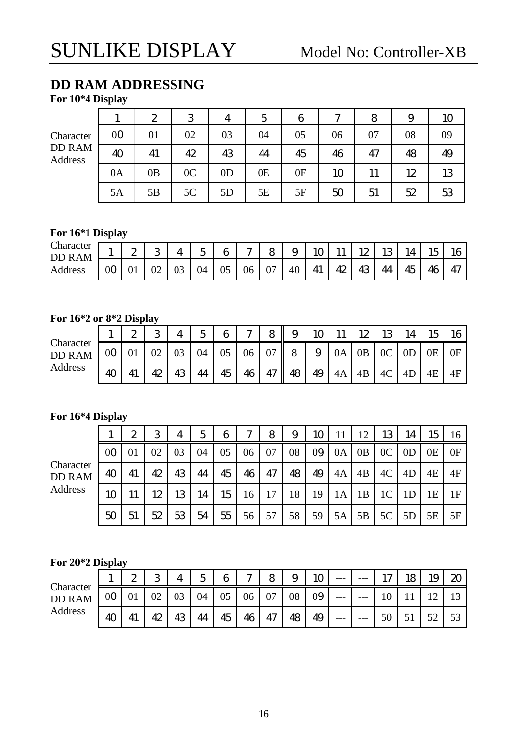### **DD RAM ADDRESSING**

**For 10\*4 Display** 

|                          |                | $\mathbf{z}$ | 3              | 4              | 5  | 6  | $\sim$ | 8  | 9  | 10 |
|--------------------------|----------------|--------------|----------------|----------------|----|----|--------|----|----|----|
| Character                | 0 <sub>0</sub> | 01           | 02             | 03             | 04 | 05 | 06     | 07 | 08 | 09 |
| <b>DD RAM</b><br>Address | 40             | 41           | 42             | 43             | 44 | 45 | 46     | 47 | 48 | 49 |
|                          | 0A             | 0B           | 0 <sup>C</sup> | 0 <sub>D</sub> | 0E | 0F | 10     | 11 | 12 | 13 |
|                          | 5A             | 5Β           | 5C             | 5D             | 5E | 5F | 50     | 51 | 52 | 53 |

#### **For 16\*1 Display**

| Character<br>AM<br>DD<br>ĸ | л. | ⌒<br>∼ | Ω<br>ີ |    | $\overline{\phantom{0}}$<br>∽<br>◡ | 6  | $\sim$ | 8  | ч<br>ັ | ĸ  | <b>**</b> | 12      | w  | Δ  | $\sim$<br>15 | 16 |
|----------------------------|----|--------|--------|----|------------------------------------|----|--------|----|--------|----|-----------|---------|----|----|--------------|----|
| Address                    | 0C | UΙ     | 02     | ∩≏ | 04                                 | 05 | 06     | 07 | 40     | 41 | 42        | 12<br>ᅩ | 44 | 45 | 46<br>R      | 47 |

#### **For 16\*2 or 8\*2 Display**

|                            |                | ∩ | ာ  |    | Γ  | 6  | $\sim$ | 8        | 9  |    |    |                |                |                | - LS | 16 |
|----------------------------|----------------|---|----|----|----|----|--------|----------|----|----|----|----------------|----------------|----------------|------|----|
| Character<br><b>DD RAM</b> | 00             |   | 02 | 03 | 04 | 05 | 06     | $\Omega$ | 8  | 9  | 0A | 0 <sub>B</sub> | 0 <sup>C</sup> | 0 <sub>D</sub> | 0E   | 0F |
| Address                    | $\overline{4}$ |   | 42 | 43 | 44 | 45 | 46     | 47       | 48 | 49 | 4A | 4B             | 4C             | 4D             | 4E   | 4F |

#### **For 16\*4 Display**

|                            |                | 2  | 3  | 4  | 5  | 6  | 7  | 8  | 9  | 10 |    | 12 | 13             | 14             | 15 | 16 |
|----------------------------|----------------|----|----|----|----|----|----|----|----|----|----|----|----------------|----------------|----|----|
|                            | 0 <sub>O</sub> | 01 | 02 | 03 | 04 | 05 | 06 | 07 | 08 | 09 | 0A | 0B | 0 <sup>C</sup> | 0 <sub>D</sub> | 0Ε | 0F |
| Character<br><b>DD RAM</b> | 40             | 41 | 42 | 43 | 44 | 45 | 46 | 47 | 48 | 49 | 4A | 4B | 4C             | 4D             | 4E | 4F |
| Address                    | 10             |    | 12 | 13 | 14 | 15 | 16 | 17 | 18 | 19 | 1А | 1B | 1 <sup>C</sup> |                | 1E | 1F |
|                            | 50             | 51 | 52 | 53 | 54 | 55 | 56 | 57 | 58 | 59 | 5A | 5B | 5C             | 5D             | 5E | 5F |

#### **For 20\*2 Display**

|                            |    | ∼ | ာ<br>J |    | ς  | 6  | $\sim$ | 8  | $\Omega$<br>◡ | 10 | $---$ | ---   | 1 <sub>7</sub>  | 18 | 1 <sub>C</sub><br>ΙJ | 20 |
|----------------------------|----|---|--------|----|----|----|--------|----|---------------|----|-------|-------|-----------------|----|----------------------|----|
| Character<br><b>DD RAM</b> | 00 |   | 02     | 03 | 04 | 05 | 06     | 07 | 08            | 09 | ---   | $---$ | 1 $\cap$<br>1 V |    |                      |    |
| Address                    | 4C |   | 42     | 43 | 44 | 45 | 46     | 47 | 48            | 49 | $---$ | $---$ | 50              |    | 50                   | 53 |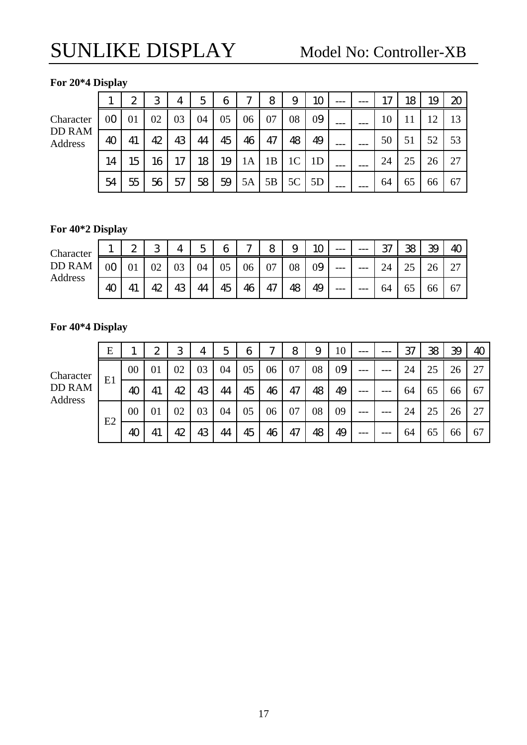#### **For 20\*4 Display**

Characte DD RAM Address

|    |                 | 2         | 3               | 4                                 | 5 <sup>1</sup> | 6 <sup>1</sup> | 7 <sup>1</sup>  | 8 <sup>1</sup> | 9                                       | 10 |  | 17 <sup>1</sup> | 18 l | 19 <sup>°</sup> | $\boldsymbol{\mathcal{Z}}$ |
|----|-----------------|-----------|-----------------|-----------------------------------|----------------|----------------|-----------------|----------------|-----------------------------------------|----|--|-----------------|------|-----------------|----------------------------|
| P. |                 | $00$ 01   |                 | $02 \mid 03 \mid 04 \mid 05 \mid$ |                |                | 06 <sup>1</sup> | 07             | 08 <sup>1</sup>                         | 09 |  | 10              |      | 12              |                            |
| VI | 40 <sup>1</sup> | 41        | 42              | 43                                | 44             | 45             | 46              | 47             | 48                                      | 49 |  | 50              | 51   | 52 <sub>1</sub> | 53                         |
|    | 14 <sup>1</sup> | $15 \mid$ | 16 <sup>1</sup> | 17 <sup>1</sup>                   |                |                |                 |                | $18$   19  1A  1B  1C  1D               |    |  | 24              | 25   | 26              | -27                        |
|    | 54              | 55        |                 | 56 57                             |                |                |                 |                | $58$   $59$   $5A$   $5B$   $5C$   $5D$ |    |  | 64              | 65   | 66              | 67                         |

### **For 40\*2 Display**

| Character |    | っ<br>∼ | ∩  |   | $\overline{\phantom{a}}$<br>ັ | 6  | $\sim$ | 8  | ັ  | $1\cap$ | ---   | --- | ൚<br>J. | ഏ<br>w | 39 | 4C |
|-----------|----|--------|----|---|-------------------------------|----|--------|----|----|---------|-------|-----|---------|--------|----|----|
| DD RAM    |    |        | ◡∠ |   | 04                            | 05 | 06     | 07 | 08 | 09      | ---   | --- | ∠−      | ل کے   | 26 | 27 |
| Address   | 40 |        | ₭  | r | 44                            | 45 | 46     | 47 | 48 | 49      | $---$ | --- | 64      | UJ     | 66 | 67 |

#### **For 40\*4 Display**

|                          | E  |        | $\boldsymbol{z}$ | 3  | 4  | 5  | 6  | ∼  | 8  | 9  | 10 | $---$ |     | 37 | 38 | 39 | 40 |
|--------------------------|----|--------|------------------|----|----|----|----|----|----|----|----|-------|-----|----|----|----|----|
| Character                |    | $00\,$ | 01               | 02 | 03 | 04 | 05 | 06 | 07 | 08 | 09 | ---   |     | 24 | 25 | 26 | 27 |
| <b>DD RAM</b><br>Address | E1 | 40     | 41               | 42 | 43 | 44 | 45 | 46 | 47 | 48 | 49 | $---$ | --- | 64 | 65 | 66 | 67 |
|                          |    | $00\,$ | 01               | 02 | 03 | 04 | 05 | 06 | 07 | 08 | 09 |       |     | 24 | 25 | 26 | 27 |
|                          | E2 | 40     | 41               | 42 | 43 | 44 | 45 | 46 | 47 | 48 | 49 | $---$ |     | 64 | 65 | 66 | 67 |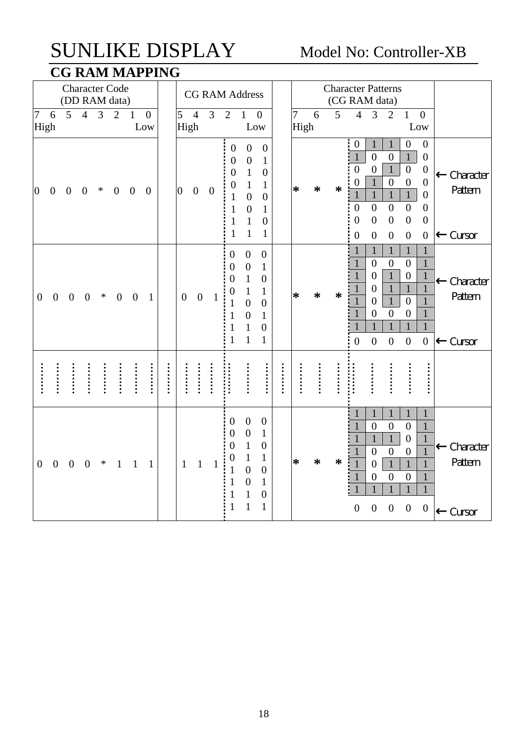### SUNLIKE DISPLAY Model No: Controller-XB **CG RAM MAPPING**

|                  |                  |                  |                  |                | <b>Character Code</b><br>(DD RAM data) |                  | ---- - --           |      |                  |                  | <b>CG RAM Address</b> |                                                                                                                     |                                                                                                                                        |                                                                                                                                          |                        |        |        | <b>Character Patterns</b><br>(CG RAM data)                                                                                                                                                                                                                                                                                                                                                                                                                                                                                                                               |                                                                                                                                                                                |
|------------------|------------------|------------------|------------------|----------------|----------------------------------------|------------------|---------------------|------|------------------|------------------|-----------------------|---------------------------------------------------------------------------------------------------------------------|----------------------------------------------------------------------------------------------------------------------------------------|------------------------------------------------------------------------------------------------------------------------------------------|------------------------|--------|--------|--------------------------------------------------------------------------------------------------------------------------------------------------------------------------------------------------------------------------------------------------------------------------------------------------------------------------------------------------------------------------------------------------------------------------------------------------------------------------------------------------------------------------------------------------------------------------|--------------------------------------------------------------------------------------------------------------------------------------------------------------------------------|
| 7                | 6<br>High        | 5                | $\overline{4}$   | $\overline{3}$ | $\overline{2}$                         | $\mathbf{1}$     | $\mathbf{0}$<br>Low |      | 5<br>High        | $\overline{4}$   | 3                     | $\overline{2}$                                                                                                      | $\mathbf{1}$<br>Low                                                                                                                    | $\boldsymbol{0}$                                                                                                                         | $\overline{7}$<br>High | 6      | 5      | $\overline{4}$<br>3<br>$\overline{2}$<br>$\mathbf{1}$<br>$\overline{0}$<br>Low                                                                                                                                                                                                                                                                                                                                                                                                                                                                                           |                                                                                                                                                                                |
| $\overline{0}$   | $\boldsymbol{0}$ | $\overline{0}$   | $\mathbf{0}$     | $\ast$         | $\boldsymbol{0}$                       | $\boldsymbol{0}$ | $\overline{0}$      |      | $\overline{0}$   | $\overline{0}$   | $\overline{0}$        | $\boldsymbol{0}$<br>$\theta$<br>$\overline{0}$<br>0<br>$\mathbf{1}$<br>$\mathbf{1}$<br>$\mathbf{1}$<br>$\mathbf{1}$ | $\boldsymbol{0}$<br>$\boldsymbol{0}$<br>$\mathbf{1}$<br>1<br>$\overline{0}$<br>$\overline{0}$<br>$\mathbf{1}$<br>1                     | $\boldsymbol{0}$<br>$\mathbf{1}$<br>$\overline{0}$<br>$\mathbf{1}$<br>$\overline{0}$<br>$\mathbf{1}$<br>$\boldsymbol{0}$<br>$\mathbf{1}$ | $\ast$                 | $\ast$ | $\ast$ | $\boldsymbol{0}$<br>$\mathbf{0}$<br>$\mathbf{1}$<br>$\mathbf{1}$<br>$\mathbf{1}$<br>$\overline{0}$<br>$\mathbf{1}$<br>$\overline{0}$<br>$\overline{0}$<br>$\overline{0}$<br>$\mathbf{1}$<br>$\theta$<br>$\mathbf{1}$<br>$\mathbf{0}$<br>$\overline{0}$<br>$\overline{0}$<br>$\mathbf{1}$<br>$\mathbf{1}$<br>$\mathbf{1}$<br>$\mathbf{1}$<br>$\overline{0}$<br>$\overline{0}$<br>$\overline{0}$<br>$\overline{0}$<br>$\overline{0}$<br>$\overline{0}$<br>$\overline{0}$<br>$\overline{0}$<br>$\boldsymbol{0}$<br>$\boldsymbol{0}$<br>$\boldsymbol{0}$<br>$\boldsymbol{0}$ | $\overline{0}$<br>$\overline{0}$<br>$\overline{0}$<br>Character<br>$\overline{0}$<br>Pattern<br>$\overline{0}$<br>$\overline{0}$<br>$\overline{0}$<br>Cursor<br>$\overline{0}$ |
| $\boldsymbol{0}$ | $\boldsymbol{0}$ | $\boldsymbol{0}$ | $\boldsymbol{0}$ | $\ast$         | $\boldsymbol{0}$                       | $\boldsymbol{0}$ | $\mathbf{1}$        |      | $\boldsymbol{0}$ | $\boldsymbol{0}$ | 1                     | $\overline{0}$<br>$\overline{0}$<br>$\overline{0}$<br>0<br>1                                                        | $\overline{0}$<br>$\boldsymbol{0}$<br>$\mathbf{1}$<br>$\mathbf{1}$<br>$\overline{0}$<br>$\overline{0}$<br>$\mathbf{1}$<br>$\mathbf{1}$ | $\overline{0}$<br>$\mathbf{1}$<br>$\overline{0}$<br>1<br>$\overline{0}$<br>$\mathbf{1}$<br>$\boldsymbol{0}$<br>$\mathbf{1}$              | ∗                      | $\ast$ | ∗      | $\mathbf{1}$<br>$\mathbf{1}$<br>$\mathbf{1}$<br>1<br>$\overline{0}$<br>$\mathbf{1}$<br>$\overline{0}$<br>$\boldsymbol{0}$<br>$\mathbf{1}$<br>$\mathbf{1}$<br>$\boldsymbol{0}$<br>$\overline{0}$<br>$\mathbf{1}$<br>$\boldsymbol{0}$<br>$\mathbf{1}$<br>$\overline{0}$<br>$\mathbf{1}$<br>$\overline{0}$<br>$\mathbf{1}$<br>$\overline{0}$<br>$\mathbf{1}$<br>$\overline{0}$<br>$\overline{0}$<br>$\mathbf{1}$<br>$\mathbf{1}$<br>$\mathbf{1}$<br>$\mathbf{1}$<br>$\boldsymbol{0}$<br>$\boldsymbol{0}$<br>$\boldsymbol{0}$<br>$\boldsymbol{0}$                            | $\mathbf{1}$<br>$\mathbf{1}$<br>$\mathbf{1}$<br>Character<br>$\mathbf{1}$<br>Pattern<br>$\mathbf{1}$<br>$\mathbf{1}$<br>$\mathbf{1}$<br>$\boldsymbol{0}$<br>Cursor             |
|                  |                  |                  |                  |                |                                        |                  | $\vdots$            | <br> | :<br>:<br>:<br>: | :::::            |                       |                                                                                                                     |                                                                                                                                        | <br>                                                                                                                                     |                        |        |        | :::::                                                                                                                                                                                                                                                                                                                                                                                                                                                                                                                                                                    | <br>                                                                                                                                                                           |
| $\boldsymbol{0}$ | $\boldsymbol{0}$ | $\overline{0}$   | $\overline{0}$   | ∗              | $\mathbf{1}$                           | $\mathbf{1}$     | 1                   |      | $\mathbf{1}$     | $\mathbf{1}$     | 1                     | $\boldsymbol{0}$<br>$\overline{0}$<br>$\overline{0}$<br>0<br>1<br>1                                                 | $\boldsymbol{0}$<br>$\overline{0}$<br>$\mathbf{1}$<br>$\mathbf{1}$<br>$\overline{0}$<br>$\overline{0}$<br>$\mathbf{1}$<br>$\mathbf{1}$ | $\boldsymbol{0}$<br>$\mathbf{1}$<br>$\overline{0}$<br>$\mathbf{1}$<br>$\boldsymbol{0}$<br>$\mathbf{1}$<br>$\boldsymbol{0}$<br>1          | $\ast$                 | ∗      | ∗      | $\mathbf{1}$<br>$\mathbf{1}$<br>1<br>$\mathbf{1}$<br>$\overline{0}$<br>$\overline{0}$<br>$\overline{0}$<br>$\mathbf{1}$<br>$\mathbf{1}$<br>$\mathbf{1}$<br>$\mathbf{1}$<br>$\overline{0}$<br>$\boldsymbol{0}$<br>$\overline{0}$<br>$\overline{0}$<br>$\mathbf{1}$<br>$\mathbf{1}$<br>$\mathbf{1}$<br>$\overline{0}$<br>$\overline{0}$<br>$\theta$<br>$\overline{0}$<br>1<br>$\mathbf{1}$<br>1<br>$\mathbf{1}$<br>$\overline{0}$<br>$\overline{0}$<br>$\boldsymbol{0}$<br>$\boldsymbol{0}$                                                                                | $\mathbf{1}$<br>1<br>$\mathbf{1}$<br>Character<br>$\overline{1}$<br>Pattern<br>$\mathbf{1}$<br>$\mathbf{1}$<br>$\mathbf{1}$<br>$\boldsymbol{0}$<br>Cursor                      |